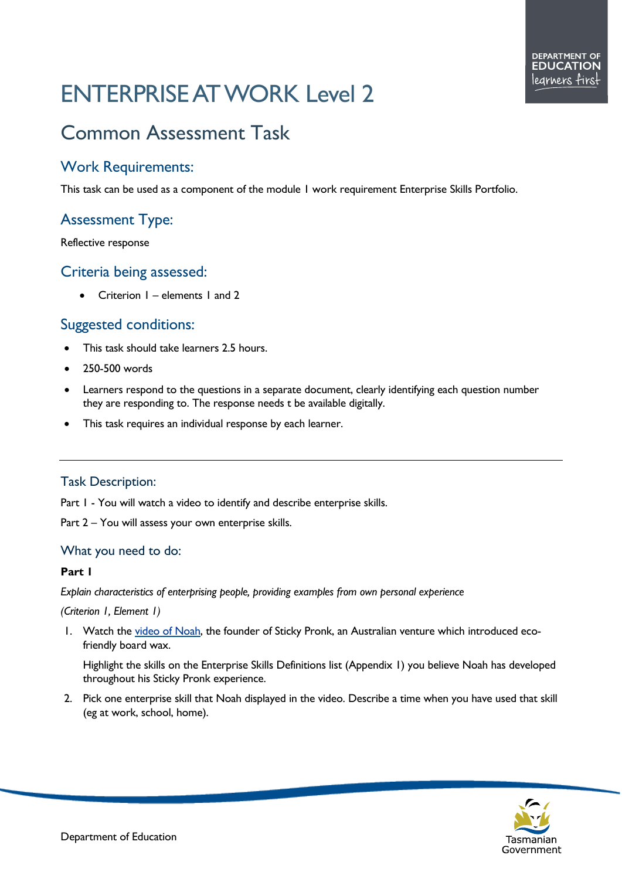# ENTERPRISE AT WORK Level 2

# Common Assessment Task

### Work Requirements:

This task can be used as a component of the module 1 work requirement Enterprise Skills Portfolio.

## Assessment Type:

Reflective response

#### Criteria being assessed:

• Criterion I – elements I and 2

#### Suggested conditions:

- This task should take learners 2.5 hours.
- 250-500 words
- Learners respond to the questions in a separate document, clearly identifying each question number they are responding to. The response needs t be available digitally.
- This task requires an individual response by each learner.

#### Task Description:

Part I - You will watch a video to identify and describe enterprise skills.

Part 2 – You will assess your own enterprise skills.

#### What you need to do:

#### **Part 1**

*Explain characteristics of enterprising people, providing examples from own personal experience* 

#### *(Criterion 1, Element 1)*

1. Watch the [video of Noah,](https://stickypronk.com.au/) the founder of Sticky Pronk, an Australian venture which introduced ecofriendly board wax.

Highlight the skills on the Enterprise Skills Definitions list (Appendix 1) you believe Noah has developed throughout his Sticky Pronk experience.

2. Pick one enterprise skill that Noah displayed in the video. Describe a time when you have used that skill (eg at work, school, home).

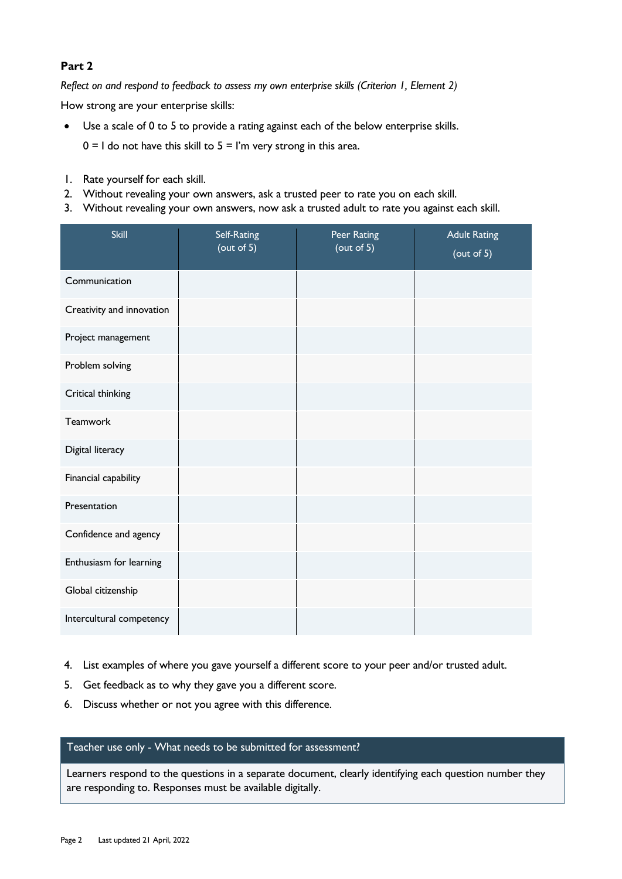#### **Part 2**

*Reflect on and respond to feedback to assess my own enterprise skills (Criterion 1, Element 2)*

How strong are your enterprise skills:

- Use a scale of 0 to 5 to provide a rating against each of the below enterprise skills.  $0 = 1$  do not have this skill to  $5 = 1$ 'm very strong in this area.
- 1. Rate yourself for each skill.
- 2. Without revealing your own answers, ask a trusted peer to rate you on each skill.
- 3. Without revealing your own answers, now ask a trusted adult to rate you against each skill.

| <b>Skill</b>              | <b>Self-Rating</b><br>(out of 5) | Peer Rating<br>(out of 5) | <b>Adult Rating</b><br>$($ out of 5 $)$ |
|---------------------------|----------------------------------|---------------------------|-----------------------------------------|
| Communication             |                                  |                           |                                         |
| Creativity and innovation |                                  |                           |                                         |
| Project management        |                                  |                           |                                         |
| Problem solving           |                                  |                           |                                         |
| Critical thinking         |                                  |                           |                                         |
| <b>Teamwork</b>           |                                  |                           |                                         |
| Digital literacy          |                                  |                           |                                         |
| Financial capability      |                                  |                           |                                         |
| Presentation              |                                  |                           |                                         |
| Confidence and agency     |                                  |                           |                                         |
| Enthusiasm for learning   |                                  |                           |                                         |
| Global citizenship        |                                  |                           |                                         |
| Intercultural competency  |                                  |                           |                                         |

- 4. List examples of where you gave yourself a different score to your peer and/or trusted adult.
- 5. Get feedback as to why they gave you a different score.
- 6. Discuss whether or not you agree with this difference.

#### Teacher use only - What needs to be submitted for assessment?

Learners respond to the questions in a separate document, clearly identifying each question number they are responding to. Responses must be available digitally.